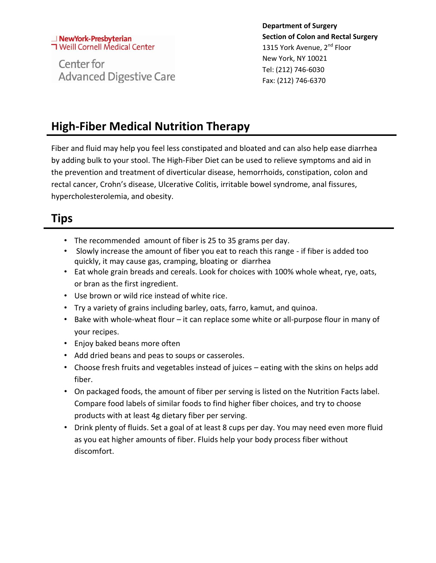#### NewYork-Presbyterian **T** Weill Cornell Medical Center

Center for **Advanced Digestive Care** 

**Department of Surgery Section of Colon and Rectal Surgery** 1315 York Avenue, 2<sup>nd</sup> Floor New York, NY 10021 Tel: (212) 746-6030 Fax: (212) 746-6370

## **High-Fiber Medical Nutrition Therapy**

Fiber and fluid may help you feel less constipated and bloated and can also help ease diarrhea by adding bulk to your stool. The High-Fiber Diet can be used to relieve symptoms and aid in the prevention and treatment of diverticular disease, hemorrhoids, constipation, colon and rectal cancer, Crohn's disease, Ulcerative Colitis, irritable bowel syndrome, anal fissures, hypercholesterolemia, and obesity.

### **Tips**

- The recommended amount of fiber is 25 to 35 grams per day.
- Slowly increase the amount of fiber you eat to reach this range if fiber is added too quickly, it may cause gas, cramping, bloating or diarrhea
- Eat whole grain breads and cereals. Look for choices with 100% whole wheat, rye, oats, or bran as the first ingredient.
- Use brown or wild rice instead of white rice.
- Try a variety of grains including barley, oats, farro, kamut, and quinoa.
- Bake with whole-wheat flour it can replace some white or all-purpose flour in many of your recipes.
- Enjoy baked beans more often
- Add dried beans and peas to soups or casseroles.
- Choose fresh fruits and vegetables instead of juices eating with the skins on helps add fiber.
- On packaged foods, the amount of fiber per serving is listed on the Nutrition Facts label. Compare food labels of similar foods to find higher fiber choices, and try to choose products with at least 4g dietary fiber per serving.
- Drink plenty of fluids. Set a goal of at least 8 cups per day. You may need even more fluid as you eat higher amounts of fiber. Fluids help your body process fiber without discomfort.